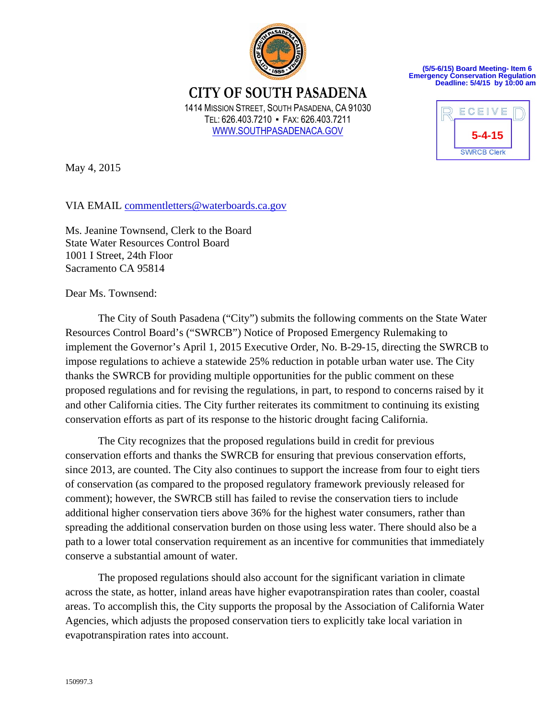

**(5/5-6/15) Board Meeting- Item 6 Emergency Conservation Regulation Deadline: 5/4/15 by 10:00 am**

**CITY OF SOUTH PASADENA**  1414 MISSION STREET, SOUTH PASADENA, CA 91030 TEL: 626.403.7210 ▪ FAX: 626.403.7211 WWW.SOUTHPASADENACA.GOV



May 4, 2015

VIA EMAIL commentletters@waterboards.ca.gov

Ms. Jeanine Townsend, Clerk to the Board State Water Resources Control Board 1001 I Street, 24th Floor Sacramento CA 95814

Dear Ms. Townsend:

The City of South Pasadena ("City") submits the following comments on the State Water Resources Control Board's ("SWRCB") Notice of Proposed Emergency Rulemaking to implement the Governor's April 1, 2015 Executive Order, No. B-29-15, directing the SWRCB to impose regulations to achieve a statewide 25% reduction in potable urban water use. The City thanks the SWRCB for providing multiple opportunities for the public comment on these proposed regulations and for revising the regulations, in part, to respond to concerns raised by it and other California cities. The City further reiterates its commitment to continuing its existing conservation efforts as part of its response to the historic drought facing California.

The City recognizes that the proposed regulations build in credit for previous conservation efforts and thanks the SWRCB for ensuring that previous conservation efforts, since 2013, are counted. The City also continues to support the increase from four to eight tiers of conservation (as compared to the proposed regulatory framework previously released for comment); however, the SWRCB still has failed to revise the conservation tiers to include additional higher conservation tiers above 36% for the highest water consumers, rather than spreading the additional conservation burden on those using less water. There should also be a path to a lower total conservation requirement as an incentive for communities that immediately conserve a substantial amount of water.

The proposed regulations should also account for the significant variation in climate across the state, as hotter, inland areas have higher evapotranspiration rates than cooler, coastal areas. To accomplish this, the City supports the proposal by the Association of California Water Agencies, which adjusts the proposed conservation tiers to explicitly take local variation in evapotranspiration rates into account.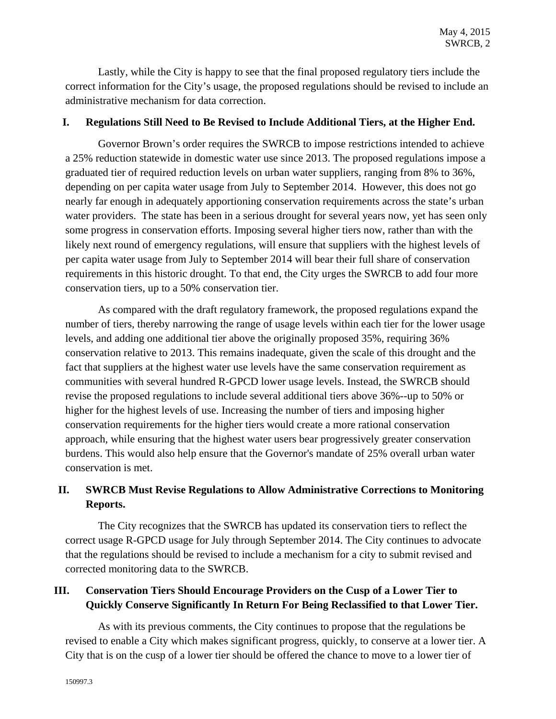Lastly, while the City is happy to see that the final proposed regulatory tiers include the correct information for the City's usage, the proposed regulations should be revised to include an administrative mechanism for data correction.

### **I. Regulations Still Need to Be Revised to Include Additional Tiers, at the Higher End.**

Governor Brown's order requires the SWRCB to impose restrictions intended to achieve a 25% reduction statewide in domestic water use since 2013. The proposed regulations impose a graduated tier of required reduction levels on urban water suppliers, ranging from 8% to 36%, depending on per capita water usage from July to September 2014. However, this does not go nearly far enough in adequately apportioning conservation requirements across the state's urban water providers. The state has been in a serious drought for several years now, yet has seen only some progress in conservation efforts. Imposing several higher tiers now, rather than with the likely next round of emergency regulations, will ensure that suppliers with the highest levels of per capita water usage from July to September 2014 will bear their full share of conservation requirements in this historic drought. To that end, the City urges the SWRCB to add four more conservation tiers, up to a 50% conservation tier.

As compared with the draft regulatory framework, the proposed regulations expand the number of tiers, thereby narrowing the range of usage levels within each tier for the lower usage levels, and adding one additional tier above the originally proposed 35%, requiring 36% conservation relative to 2013. This remains inadequate, given the scale of this drought and the fact that suppliers at the highest water use levels have the same conservation requirement as communities with several hundred R-GPCD lower usage levels. Instead, the SWRCB should revise the proposed regulations to include several additional tiers above 36%--up to 50% or higher for the highest levels of use. Increasing the number of tiers and imposing higher conservation requirements for the higher tiers would create a more rational conservation approach, while ensuring that the highest water users bear progressively greater conservation burdens. This would also help ensure that the Governor's mandate of 25% overall urban water conservation is met.

# **II. SWRCB Must Revise Regulations to Allow Administrative Corrections to Monitoring Reports.**

The City recognizes that the SWRCB has updated its conservation tiers to reflect the correct usage R-GPCD usage for July through September 2014. The City continues to advocate that the regulations should be revised to include a mechanism for a city to submit revised and corrected monitoring data to the SWRCB.

## **III. Conservation Tiers Should Encourage Providers on the Cusp of a Lower Tier to Quickly Conserve Significantly In Return For Being Reclassified to that Lower Tier.**

As with its previous comments, the City continues to propose that the regulations be revised to enable a City which makes significant progress, quickly, to conserve at a lower tier. A City that is on the cusp of a lower tier should be offered the chance to move to a lower tier of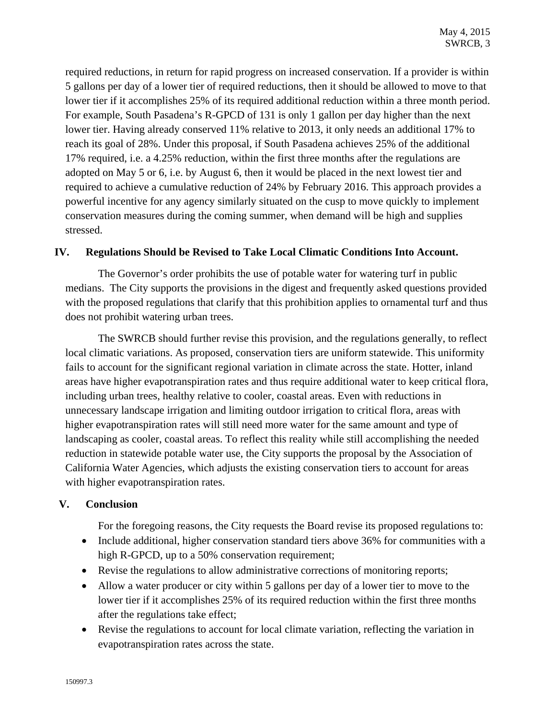required reductions, in return for rapid progress on increased conservation. If a provider is within 5 gallons per day of a lower tier of required reductions, then it should be allowed to move to that lower tier if it accomplishes 25% of its required additional reduction within a three month period. For example, South Pasadena's R-GPCD of 131 is only 1 gallon per day higher than the next lower tier. Having already conserved 11% relative to 2013, it only needs an additional 17% to reach its goal of 28%. Under this proposal, if South Pasadena achieves 25% of the additional 17% required, i.e. a 4.25% reduction, within the first three months after the regulations are adopted on May 5 or 6, i.e. by August 6, then it would be placed in the next lowest tier and required to achieve a cumulative reduction of 24% by February 2016. This approach provides a powerful incentive for any agency similarly situated on the cusp to move quickly to implement conservation measures during the coming summer, when demand will be high and supplies stressed.

### **IV. Regulations Should be Revised to Take Local Climatic Conditions Into Account.**

The Governor's order prohibits the use of potable water for watering turf in public medians. The City supports the provisions in the digest and frequently asked questions provided with the proposed regulations that clarify that this prohibition applies to ornamental turf and thus does not prohibit watering urban trees.

The SWRCB should further revise this provision, and the regulations generally, to reflect local climatic variations. As proposed, conservation tiers are uniform statewide. This uniformity fails to account for the significant regional variation in climate across the state. Hotter, inland areas have higher evapotranspiration rates and thus require additional water to keep critical flora, including urban trees, healthy relative to cooler, coastal areas. Even with reductions in unnecessary landscape irrigation and limiting outdoor irrigation to critical flora, areas with higher evapotranspiration rates will still need more water for the same amount and type of landscaping as cooler, coastal areas. To reflect this reality while still accomplishing the needed reduction in statewide potable water use, the City supports the proposal by the Association of California Water Agencies, which adjusts the existing conservation tiers to account for areas with higher evapotranspiration rates.

### **V. Conclusion**

For the foregoing reasons, the City requests the Board revise its proposed regulations to:

- Include additional, higher conservation standard tiers above 36% for communities with a high R-GPCD, up to a 50% conservation requirement;
- Revise the regulations to allow administrative corrections of monitoring reports;
- Allow a water producer or city within 5 gallons per day of a lower tier to move to the lower tier if it accomplishes 25% of its required reduction within the first three months after the regulations take effect;
- Revise the regulations to account for local climate variation, reflecting the variation in evapotranspiration rates across the state.